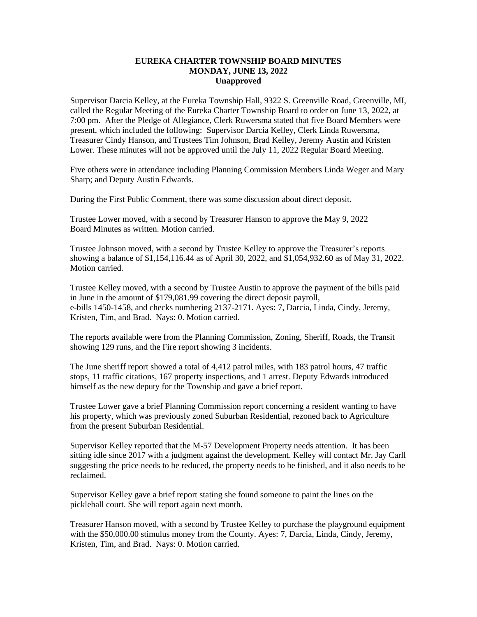## **EUREKA CHARTER TOWNSHIP BOARD MINUTES MONDAY, JUNE 13, 2022 Unapproved**

Supervisor Darcia Kelley, at the Eureka Township Hall, 9322 S. Greenville Road, Greenville, MI, called the Regular Meeting of the Eureka Charter Township Board to order on June 13, 2022, at 7:00 pm. After the Pledge of Allegiance, Clerk Ruwersma stated that five Board Members were present, which included the following: Supervisor Darcia Kelley, Clerk Linda Ruwersma, Treasurer Cindy Hanson, and Trustees Tim Johnson, Brad Kelley, Jeremy Austin and Kristen Lower. These minutes will not be approved until the July 11, 2022 Regular Board Meeting.

Five others were in attendance including Planning Commission Members Linda Weger and Mary Sharp; and Deputy Austin Edwards.

During the First Public Comment, there was some discussion about direct deposit.

Trustee Lower moved, with a second by Treasurer Hanson to approve the May 9, 2022 Board Minutes as written. Motion carried.

Trustee Johnson moved, with a second by Trustee Kelley to approve the Treasurer's reports showing a balance of \$1,154,116.44 as of April 30, 2022, and \$1,054,932.60 as of May 31, 2022. Motion carried.

Trustee Kelley moved, with a second by Trustee Austin to approve the payment of the bills paid in June in the amount of \$179,081.99 covering the direct deposit payroll, e-bills 1450-1458, and checks numbering 2137-2171. Ayes: 7, Darcia, Linda, Cindy, Jeremy, Kristen, Tim, and Brad. Nays: 0. Motion carried.

The reports available were from the Planning Commission, Zoning, Sheriff, Roads, the Transit showing 129 runs, and the Fire report showing 3 incidents.

The June sheriff report showed a total of 4,412 patrol miles, with 183 patrol hours, 47 traffic stops, 11 traffic citations, 167 property inspections, and 1 arrest. Deputy Edwards introduced himself as the new deputy for the Township and gave a brief report.

Trustee Lower gave a brief Planning Commission report concerning a resident wanting to have his property, which was previously zoned Suburban Residential, rezoned back to Agriculture from the present Suburban Residential.

Supervisor Kelley reported that the M-57 Development Property needs attention. It has been sitting idle since 2017 with a judgment against the development. Kelley will contact Mr. Jay Carll suggesting the price needs to be reduced, the property needs to be finished, and it also needs to be reclaimed.

Supervisor Kelley gave a brief report stating she found someone to paint the lines on the pickleball court. She will report again next month.

Treasurer Hanson moved, with a second by Trustee Kelley to purchase the playground equipment with the \$50,000.00 stimulus money from the County. Ayes: 7, Darcia, Linda, Cindy, Jeremy, Kristen, Tim, and Brad. Nays: 0. Motion carried.